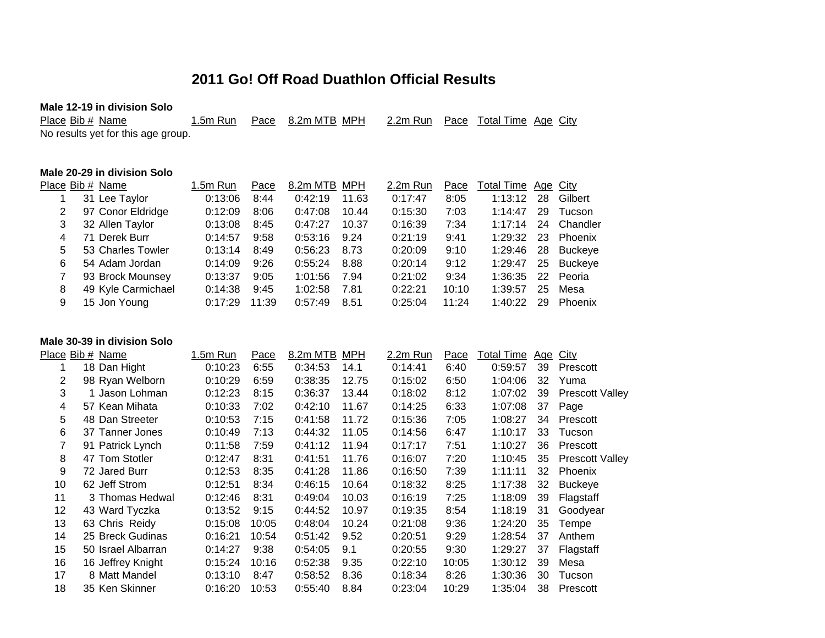# **2011 Go! Off Road Duathlon Official Results**

| Male 12-19 in division Solo        |          |      |              |          |      |                            |  |
|------------------------------------|----------|------|--------------|----------|------|----------------------------|--|
| Place Bib # Name                   | 1.5m Run | Pace | 8.2m MTB_MPH | 2.2m Run | Pace | <u>Total Time Age City</u> |  |
| No results yet for this age group. |          |      |              |          |      |                            |  |
|                                    |          |      |              |          |      |                            |  |
|                                    |          |      |              |          |      |                            |  |

### **Male 20-29 in division Solo**

|   | Place Bib # Name   | $1.5m$ Run | Pace  | 8.2m MTB MPH |       | 2.2m Run | Pace  | Total Time Age City |    |                |
|---|--------------------|------------|-------|--------------|-------|----------|-------|---------------------|----|----------------|
|   | 31 Lee Taylor      | 0:13:06    | 8:44  | 0:42:19      | 11.63 | 0:17:47  | 8:05  | 1:13:12             | 28 | Gilbert        |
|   | 97 Conor Eldridge  | 0:12:09    | 8:06  | 0:47:08      | 10.44 | 0:15:30  | 7:03  | 1:14:47             | 29 | Tucson         |
| 3 | 32 Allen Taylor    | 0:13:08    | 8:45  | 0:47:27      | 10.37 | 0:16:39  | 7:34  | 1:17:14             | 24 | Chandler       |
| 4 | 71 Derek Burr      | 0:14:57    | 9:58  | 0:53:16      | 9.24  | 0:21:19  | 9:41  | 1:29:32             | 23 | Phoenix        |
| 5 | 53 Charles Towler  | 0:13:14    | 8:49  | 0:56:23      | 8.73  | 0:20:09  | 9:10  | 1:29:46             | 28 | <b>Buckeye</b> |
| 6 | 54 Adam Jordan     | 0:14:09    | 9:26  | 0:55:24      | 8.88  | 0:20:14  | 9:12  | 1:29:47             |    | 25 Buckeye     |
|   | 93 Brock Mounsey   | 0:13:37    | 9:05  | 1:01:56      | 7.94  | 0:21:02  | 9:34  | 1:36:35             | 22 | Peoria         |
| 8 | 49 Kyle Carmichael | 0:14:38    | 9:45  | 1:02:58      | 7.81  | 0:22:21  | 10:10 | 1:39:57             | 25 | Mesa           |
| 9 | 15 Jon Young       | 0:17:29    | 11:39 | 0:57:49      | 8.51  | 0:25:04  | 11:24 | 1:40:22             | 29 | Phoenix        |

#### **Male 30-39 in division Solo**

|    | Place Bib # Name   | 1.5m Run | <u>Pace</u> | 8.2m MTB | <b>MPH</b> | 2.2m Run | Pace  | <b>Total Time</b> | <u>Age</u> | <b>City</b>            |
|----|--------------------|----------|-------------|----------|------------|----------|-------|-------------------|------------|------------------------|
|    | 18 Dan Hight       | 0:10:23  | 6:55        | 0:34:53  | 14.1       | 0:14:41  | 6:40  | 0:59:57           | 39         | Prescott               |
| 2  | 98 Ryan Welborn    | 0:10:29  | 6:59        | 0:38:35  | 12.75      | 0:15:02  | 6:50  | 1:04:06           | 32         | Yuma                   |
| 3  | 1 Jason Lohman     | 0:12:23  | 8:15        | 0:36:37  | 13.44      | 0:18:02  | 8:12  | 1:07:02           | 39         | <b>Prescott Valley</b> |
| 4  | 57 Kean Mihata     | 0:10:33  | 7:02        | 0:42:10  | 11.67      | 0:14:25  | 6:33  | 1:07:08           | 37         | Page                   |
| 5  | 48 Dan Streeter    | 0:10:53  | 7:15        | 0:41:58  | 11.72      | 0:15:36  | 7:05  | 1:08:27           | 34         | Prescott               |
| 6  | 37 Tanner Jones    | 0:10:49  | 7:13        | 0:44:32  | 11.05      | 0:14:56  | 6:47  | 1:10:17           | 33         | Tucson                 |
|    | 91 Patrick Lynch   | 0:11:58  | 7:59        | 0:41:12  | 11.94      | 0:17:17  | 7:51  | 1:10:27           | 36         | Prescott               |
| 8  | 47 Tom Stotler     | 0:12:47  | 8:31        | 0:41:51  | 11.76      | 0:16:07  | 7:20  | 1:10:45           | 35         | <b>Prescott Valley</b> |
| 9  | 72 Jared Burr      | 0:12:53  | 8:35        | 0:41:28  | 11.86      | 0:16:50  | 7:39  | 1:11:11           | 32         | Phoenix                |
| 10 | 62 Jeff Strom      | 0:12:51  | 8:34        | 0:46:15  | 10.64      | 0:18:32  | 8:25  | 1:17:38           | 32         | <b>Buckeye</b>         |
| 11 | 3 Thomas Hedwal    | 0:12:46  | 8:31        | 0:49:04  | 10.03      | 0:16:19  | 7:25  | 1:18:09           | 39         | Flagstaff              |
| 12 | 43 Ward Tyczka     | 0:13:52  | 9:15        | 0:44:52  | 10.97      | 0:19:35  | 8:54  | 1:18:19           | 31         | Goodyear               |
| 13 | 63 Chris Reidy     | 0:15:08  | 10:05       | 0:48:04  | 10.24      | 0:21:08  | 9:36  | 1:24:20           | 35         | Tempe                  |
| 14 | 25 Breck Gudinas   | 0:16:21  | 10:54       | 0:51:42  | 9.52       | 0:20:51  | 9:29  | 1:28:54           | 37         | Anthem                 |
| 15 | 50 Israel Albarran | 0:14:27  | 9:38        | 0:54:05  | 9.1        | 0:20:55  | 9:30  | 1:29:27           | 37         | Flagstaff              |
| 16 | 16 Jeffrey Knight  | 0:15:24  | 10:16       | 0:52:38  | 9.35       | 0:22:10  | 10:05 | 1:30:12           | 39         | Mesa                   |
| 17 | 8 Matt Mandel      | 0:13:10  | 8:47        | 0:58:52  | 8.36       | 0:18:34  | 8:26  | 1:30:36           | 30         | Tucson                 |
| 18 | 35 Ken Skinner     | 0:16:20  | 10:53       | 0:55:40  | 8.84       | 0:23:04  | 10:29 | 1:35:04           | 38         | Prescott               |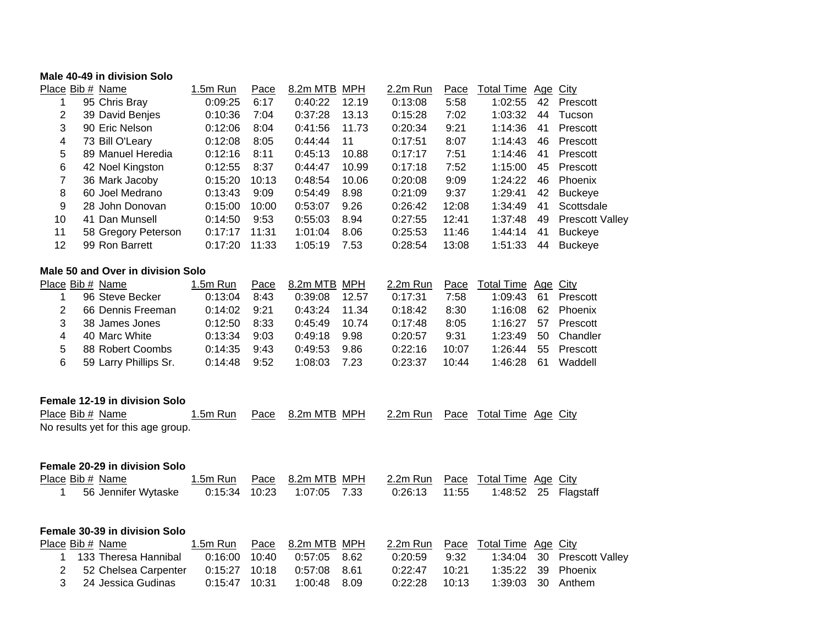### **Male 40-49 in division Solo**

|                 | Place Bib # Name    | $1.5m$ Run | Pace  | 8.2m MTB | MPH   | 2.2m Run | Pace  | <b>Total Time</b> | Age City |                        |
|-----------------|---------------------|------------|-------|----------|-------|----------|-------|-------------------|----------|------------------------|
|                 | 95 Chris Bray       | 0:09:25    | 6:17  | 0:40:22  | 12.19 | 0:13:08  | 5:58  | 1:02:55           | 42       | Prescott               |
| $\overline{2}$  | 39 David Benjes     | 0:10:36    | 7:04  | 0:37:28  | 13.13 | 0:15:28  | 7:02  | 1:03:32           | 44       | Tucson                 |
| 3               | 90 Eric Nelson      | 0:12:06    | 8:04  | 0:41:56  | 11.73 | 0:20:34  | 9:21  | 1:14:36           | 41       | Prescott               |
| 4               | 73 Bill O'Leary     | 0:12:08    | 8:05  | 0:44:44  | 11    | 0:17:51  | 8:07  | 1:14:43           | 46       | Prescott               |
| 5.              | 89 Manuel Heredia   | 0:12:16    | 8:11  | 0:45:13  | 10.88 | 0:17:17  | 7:51  | 1:14:46           | 41       | Prescott               |
| 6               | 42 Noel Kingston    | 0:12:55    | 8:37  | 0:44:47  | 10.99 | 0:17:18  | 7:52  | 1:15:00           | 45       | Prescott               |
| 7               | 36 Mark Jacoby      | 0:15:20    | 10:13 | 0:48:54  | 10.06 | 0:20:08  | 9:09  | 1:24:22           | 46       | Phoenix                |
| 8               | 60 Joel Medrano     | 0:13:43    | 9:09  | 0:54:49  | 8.98  | 0:21:09  | 9:37  | 1:29:41           | 42       | <b>Buckeye</b>         |
| 9               | 28 John Donovan     | 0:15:00    | 10:00 | 0:53:07  | 9.26  | 0:26:42  | 12:08 | 1:34:49           | 41       | Scottsdale             |
| 10              | 41 Dan Munsell      | 0:14:50    | 9:53  | 0:55:03  | 8.94  | 0:27:55  | 12:41 | 1:37:48           | 49       | <b>Prescott Valley</b> |
| 11              | 58 Gregory Peterson | 0:17:17    | 11:31 | 1:01:04  | 8.06  | 0:25:53  | 11:46 | 1:44:14           | 41       | <b>Buckeye</b>         |
| 12 <sup>2</sup> | 99 Ron Barrett      | 0:17:20    | 11:33 | 1:05:19  | 7.53  | 0:28:54  | 13:08 | 1:51:33           | 44       | <b>Buckeye</b>         |
|                 |                     |            |       |          |       |          |       |                   |          |                        |

#### **Male 50 and Over in division Solo**

|   | Place Bib # Name      | 1.5m Run | Pace | 8.2m MTB MPH |       | 2.2m Run |       | Pace Total Time Age City |    |          |
|---|-----------------------|----------|------|--------------|-------|----------|-------|--------------------------|----|----------|
|   | 96 Steve Becker       | 0:13:04  | 8:43 | 0:39:08      | 12.57 | 0:17:31  | 7:58  | 1:09:43                  | 61 | Prescott |
|   | 66 Dennis Freeman     | 0:14:02  | 9:21 | 0:43:24      | 11.34 | 0:18:42  | 8:30  | 1:16:08                  | 62 | Phoenix  |
|   | 38 James Jones        | 0:12:50  | 8:33 | 0:45:49      | 10.74 | 0:17:48  | 8:05  | 1.16.27                  | 57 | Prescott |
|   | 40 Marc White         | 0:13:34  | 9:03 | 0:49:18      | 9.98  | 0:20:57  | 9:31  | 1:23:49                  | 50 | Chandler |
| 5 | 88 Robert Coombs      | 0:14:35  | 9:43 | 0:49:53      | 9.86  | 0:22:16  | 10:07 | 1:26:44                  | 55 | Prescott |
| 6 | 59 Larry Phillips Sr. | 0:14:48  | 9:52 | 1:08:03      | 7.23  | 0:23:37  | 10:44 | 1.46.28                  | 61 | Waddell  |

### **Female 12-19 in division Solo**

| Place Bib # Name                   |  | 1.5m Run Pace 8.2m MTB MPH | 2.2m Run Pace Total Time Age City |  |  |
|------------------------------------|--|----------------------------|-----------------------------------|--|--|
| No results yet for this age group. |  |                            |                                   |  |  |

### **Female 20-29 in division Solo**

| Place Bib # Name |  | 1.5m Run Pace 8.2m MTB MPH 2.2m Run Pace Total Time Age City |  |  |  |
|------------------|--|--------------------------------------------------------------|--|--|--|
|                  |  |                                                              |  |  |  |

| <b>Female 30-39 in division Solo</b> |                            |              |                 |       |                                   |                            |
|--------------------------------------|----------------------------|--------------|-----------------|-------|-----------------------------------|----------------------------|
| Place Bib # Name                     | 1.5m Run Pace 8.2m MTB MPH |              |                 |       | 2.2m Run Pace Total Time Age City |                            |
| 1 133 Theresa Hannibal               | 0:16:00 10:40              | 0:57:05 8.62 | 0:20:59         | 9:32  |                                   | 1:34:04 30 Prescott Valley |
| 2 52 Chelsea Carpenter               |                            |              | 0:22:47         | 10:21 |                                   | 1:35:22 39 Phoenix         |
| 3 24 Jessica Gudinas                 | 0:15:47 10:31              | 1:00:48 8.09 | $0:22:28$ 10:13 |       | 1:39:03 30 Anthem                 |                            |